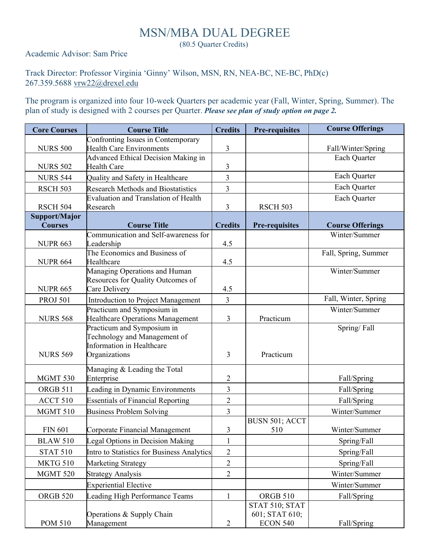## MSN/MBA DUAL DEGREE

(80.5 Quarter Credits)

Academic Advisor: Sam Price

## Track Director: Professor Virginia 'Ginny' Wilson, MSN, RN, NEA-BC, NE-BC, PhD(c) 267.359.5688 [vrw22@drexel.edu](mailto:vrw22@drexel.edu)

The program is organized into four 10-week Quarters per academic year (Fall, Winter, Spring, Summer). The plan of study is designed with 2 courses per Quarter. *Please see plan of study option on page 2.*

| <b>Core Courses</b> | <b>Course Title</b>                                                                      | <b>Credits</b> | <b>Pre-requisites</b> | <b>Course Offerings</b> |
|---------------------|------------------------------------------------------------------------------------------|----------------|-----------------------|-------------------------|
|                     | Confronting Issues in Contemporary                                                       |                |                       |                         |
| <b>NURS 500</b>     | <b>Health Care Environments</b>                                                          | $\mathfrak{Z}$ |                       | Fall/Winter/Spring      |
|                     | <b>Advanced Ethical Decision Making in</b><br><b>Health Care</b>                         |                |                       | Each Quarter            |
| <b>NURS 502</b>     |                                                                                          | 3              |                       | Each Quarter            |
| <b>NURS 544</b>     | Quality and Safety in Healthcare                                                         | 3              |                       | Each Quarter            |
| <b>RSCH 503</b>     | <b>Research Methods and Biostatistics</b><br><b>Evaluation and Translation of Health</b> | 3              |                       |                         |
| <b>RSCH 504</b>     | Research                                                                                 | 3              | <b>RSCH 503</b>       | Each Quarter            |
| Support/Major       |                                                                                          |                |                       |                         |
| <b>Courses</b>      | <b>Course Title</b>                                                                      | <b>Credits</b> | <b>Pre-requisites</b> | <b>Course Offerings</b> |
|                     | Communication and Self-awareness for                                                     |                |                       | Winter/Summer           |
| <b>NUPR 663</b>     | Leadership                                                                               | 4.5            |                       |                         |
| <b>NUPR 664</b>     | The Economics and Business of<br>Healthcare                                              | 4.5            |                       | Fall, Spring, Summer    |
|                     | Managing Operations and Human                                                            |                |                       | Winter/Summer           |
|                     | Resources for Quality Outcomes of                                                        |                |                       |                         |
| <b>NUPR 665</b>     | Care Delivery                                                                            | 4.5            |                       |                         |
| <b>PROJ 501</b>     | Introduction to Project Management                                                       | 3              |                       | Fall, Winter, Spring    |
|                     | Practicum and Symposium in                                                               |                |                       | Winter/Summer           |
| <b>NURS 568</b>     | Healthcare Operations Management                                                         | 3              | Practicum             |                         |
|                     | Practicum and Symposium in                                                               |                |                       | Spring/Fall             |
|                     | Technology and Management of<br>Information in Healthcare                                |                |                       |                         |
| <b>NURS 569</b>     | Organizations                                                                            | 3              | Practicum             |                         |
|                     |                                                                                          |                |                       |                         |
| <b>MGMT 530</b>     | Managing & Leading the Total<br>Enterprise                                               | 2              |                       | Fall/Spring             |
| ORGB 511            | Leading in Dynamic Environments                                                          | 3              |                       | Fall/Spring             |
| ACCT 510            | <b>Essentials of Financial Reporting</b>                                                 | $\overline{2}$ |                       | Fall/Spring             |
| <b>MGMT 510</b>     | <b>Business Problem Solving</b>                                                          | 3              |                       | Winter/Summer           |
|                     |                                                                                          |                | BUSN 501; ACCT        |                         |
| <b>FIN 601</b>      | Corporate Financial Management                                                           | 3              | 510                   | Winter/Summer           |
| <b>BLAW 510</b>     | Legal Options in Decision Making                                                         | $\mathbf{1}$   |                       | Spring/Fall             |
| <b>STAT 510</b>     | Intro to Statistics for Business Analytics                                               | $\overline{c}$ |                       | Spring/Fall             |
| MKTG 510            | Marketing Strategy                                                                       | $\overline{c}$ |                       | Spring/Fall             |
| <b>MGMT 520</b>     | <b>Strategy Analysis</b>                                                                 | $\overline{2}$ |                       | Winter/Summer           |
|                     | <b>Experiential Elective</b>                                                             |                |                       | Winter/Summer           |
| <b>ORGB 520</b>     | Leading High Performance Teams                                                           | $\mathbf{1}$   | ORGB 510              | Fall/Spring             |
|                     |                                                                                          |                | STAT 510; STAT        |                         |
|                     | Operations & Supply Chain                                                                |                | 601; STAT 610;        |                         |
| <b>POM 510</b>      | Management                                                                               | $\overline{2}$ | <b>ECON 540</b>       | Fall/Spring             |